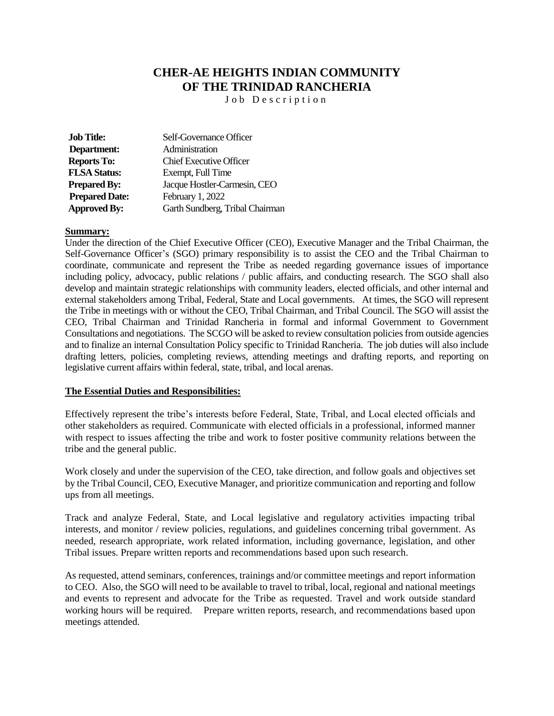# **CHER-AE HEIGHTS INDIAN COMMUNITY OF THE TRINIDAD RANCHERIA**

J o b D e s c r i p t i o n

| <b>Job Title:</b>     | Self-Governance Officer         |
|-----------------------|---------------------------------|
| Department:           | Administration                  |
| <b>Reports To:</b>    | <b>Chief Executive Officer</b>  |
| <b>FLSA Status:</b>   | Exempt, Full Time               |
| <b>Prepared By:</b>   | Jacque Hostler-Carmesin, CEO    |
| <b>Prepared Date:</b> | February 1, 2022                |
| <b>Approved By:</b>   | Garth Sundberg, Tribal Chairman |

## **Summary:**

Under the direction of the Chief Executive Officer (CEO), Executive Manager and the Tribal Chairman, the Self-Governance Officer's (SGO) primary responsibility is to assist the CEO and the Tribal Chairman to coordinate, communicate and represent the Tribe as needed regarding governance issues of importance including policy, advocacy, public relations / public affairs, and conducting research. The SGO shall also develop and maintain strategic relationships with community leaders, elected officials, and other internal and external stakeholders among Tribal, Federal, State and Local governments. At times, the SGO will represent the Tribe in meetings with or without the CEO, Tribal Chairman, and Tribal Council. The SGO will assist the CEO, Tribal Chairman and Trinidad Rancheria in formal and informal Government to Government Consultations and negotiations. The SCGO will be asked to review consultation policies from outside agencies and to finalize an internal Consultation Policy specific to Trinidad Rancheria. The job duties will also include drafting letters, policies, completing reviews, attending meetings and drafting reports, and reporting on legislative current affairs within federal, state, tribal, and local arenas.

#### **The Essential Duties and Responsibilities:**

Effectively represent the tribe's interests before Federal, State, Tribal, and Local elected officials and other stakeholders as required. Communicate with elected officials in a professional, informed manner with respect to issues affecting the tribe and work to foster positive community relations between the tribe and the general public.

Work closely and under the supervision of the CEO, take direction, and follow goals and objectives set by the Tribal Council, CEO, Executive Manager, and prioritize communication and reporting and follow ups from all meetings.

Track and analyze Federal, State, and Local legislative and regulatory activities impacting tribal interests, and monitor / review policies, regulations, and guidelines concerning tribal government. As needed, research appropriate, work related information, including governance, legislation, and other Tribal issues. Prepare written reports and recommendations based upon such research.

As requested, attend seminars, conferences, trainings and/or committee meetings and report information to CEO. Also, the SGO will need to be available to travel to tribal, local, regional and national meetings and events to represent and advocate for the Tribe as requested. Travel and work outside standard working hours will be required. Prepare written reports, research, and recommendations based upon meetings attended.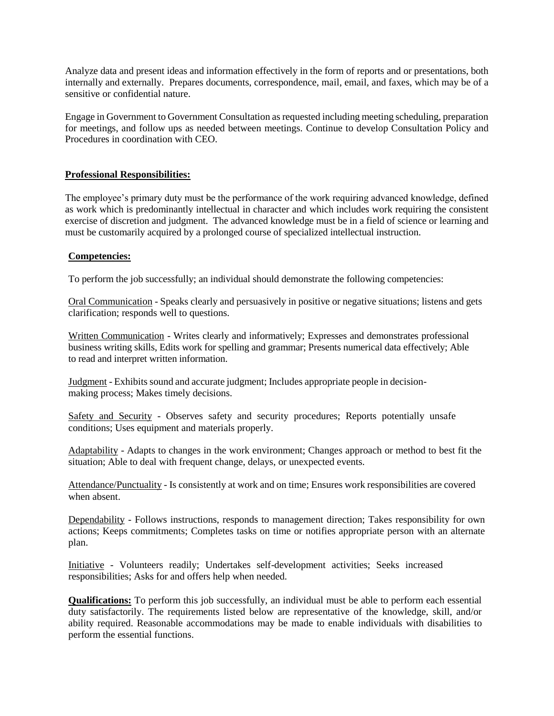Analyze data and present ideas and information effectively in the form of reports and or presentations, both internally and externally. Prepares documents, correspondence, mail, email, and faxes, which may be of a sensitive or confidential nature.

Engage in Government to Government Consultation as requested including meeting scheduling, preparation for meetings, and follow ups as needed between meetings. Continue to develop Consultation Policy and Procedures in coordination with CEO.

# **Professional Responsibilities:**

The employee's primary duty must be the performance of the work requiring advanced knowledge, defined as work which is predominantly intellectual in character and which includes work requiring the consistent exercise of discretion and judgment. The advanced knowledge must be in a field of science or learning and must be customarily acquired by a prolonged course of specialized intellectual instruction.

# **Competencies:**

To perform the job successfully; an individual should demonstrate the following competencies:

Oral Communication - Speaks clearly and persuasively in positive or negative situations; listens and gets clarification; responds well to questions.

Written Communication - Writes clearly and informatively; Expresses and demonstrates professional business writing skills, Edits work for spelling and grammar; Presents numerical data effectively; Able to read and interpret written information.

Judgment - Exhibits sound and accurate judgment; Includes appropriate people in decisionmaking process; Makes timely decisions.

Safety and Security - Observes safety and security procedures; Reports potentially unsafe conditions; Uses equipment and materials properly.

Adaptability - Adapts to changes in the work environment; Changes approach or method to best fit the situation; Able to deal with frequent change, delays, or unexpected events.

Attendance/Punctuality - Is consistently at work and on time; Ensures work responsibilities are covered when absent.

Dependability - Follows instructions, responds to management direction; Takes responsibility for own actions; Keeps commitments; Completes tasks on time or notifies appropriate person with an alternate plan.

Initiative - Volunteers readily; Undertakes self-development activities; Seeks increased responsibilities; Asks for and offers help when needed.

**Qualifications:** To perform this job successfully, an individual must be able to perform each essential duty satisfactorily. The requirements listed below are representative of the knowledge, skill, and/or ability required. Reasonable accommodations may be made to enable individuals with disabilities to perform the essential functions.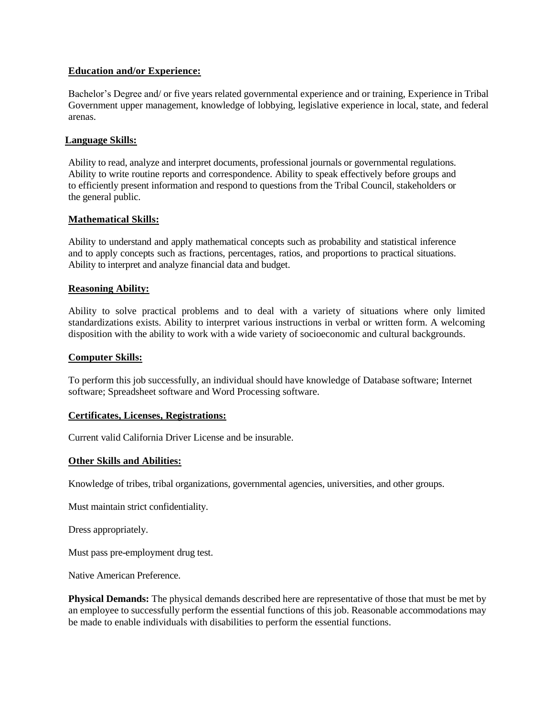## **Education and/or Experience:**

Bachelor's Degree and/ or five years related governmental experience and or training, Experience in Tribal Government upper management, knowledge of lobbying, legislative experience in local, state, and federal arenas.

## **Language Skills:**

Ability to read, analyze and interpret documents, professional journals or governmental regulations. Ability to write routine reports and correspondence. Ability to speak effectively before groups and to efficiently present information and respond to questions from the Tribal Council, stakeholders or the general public.

## **Mathematical Skills:**

Ability to understand and apply mathematical concepts such as probability and statistical inference and to apply concepts such as fractions, percentages, ratios, and proportions to practical situations. Ability to interpret and analyze financial data and budget.

## **Reasoning Ability:**

Ability to solve practical problems and to deal with a variety of situations where only limited standardizations exists. Ability to interpret various instructions in verbal or written form. A welcoming disposition with the ability to work with a wide variety of socioeconomic and cultural backgrounds.

## **Computer Skills:**

To perform this job successfully, an individual should have knowledge of Database software; Internet software; Spreadsheet software and Word Processing software.

#### **Certificates, Licenses, Registrations:**

Current valid California Driver License and be insurable.

#### **Other Skills and Abilities:**

Knowledge of tribes, tribal organizations, governmental agencies, universities, and other groups.

Must maintain strict confidentiality.

Dress appropriately.

Must pass pre-employment drug test.

Native American Preference.

**Physical Demands:** The physical demands described here are representative of those that must be met by an employee to successfully perform the essential functions of this job. Reasonable accommodations may be made to enable individuals with disabilities to perform the essential functions.